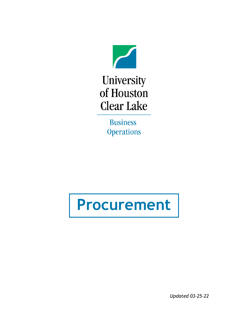

University of Houston **Clear Lake** 

> **Business Operations**

# **Procurement**

*Updated 03-25-22*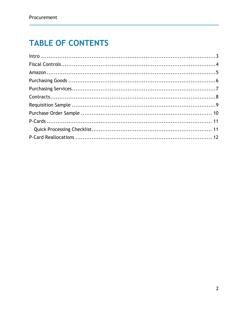### **TABLE OF CONTENTS**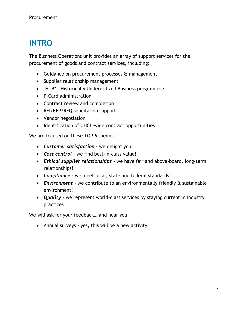### <span id="page-2-0"></span>**INTRO**

The Business Operations unit provides an array of support services for the procurement of goods and contract services, including:

- Guidance on procurement processes & management
- Supplier relationship management
- "HUB" Historically Underutilized Business program use
- P-Card administration
- Contract review and completion
- RFI/RFP/RFQ solicitation support
- Vendor negotiation
- Identification of UHCL-wide contract opportunities

We are focused on these TOP 6 themes:

- *Customer satisfaction* we delight you!
- *Cost control* we find best-in-class value!
- *Ethical supplier relationships* we have fair and above-board, long-term relationships!
- *Compliance*  we meet local, state and federal standards!
- *Environment*  we contribute to an environmentally friendly & sustainable environment!
- *Quality* we represent world-class services by staying current in industry practices

We will ask for your feedback… and hear you:

• Annual surveys - yes, this will be a new activity!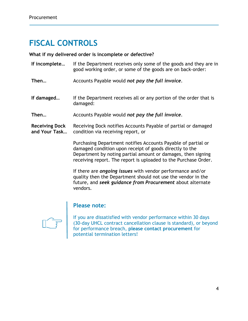### <span id="page-3-0"></span>**FISCAL CONTROLS**

#### **What if my delivered order is incomplete or defective?**

**If incomplete…** If the Department receives only some of the goods and they are in good working order, or some of the goods are on back-order: **Then…** Accounts Payable would *not pay the full invoice*. **If damaged…** If the Department receives all or any portion of the order that is damaged: **Then…** Accounts Payable would *not pay the full invoice*. **Receiving Dock and Your Task…** Receiving Dock notifies Accounts Payable of partial or damaged condition via receiving report, or

Purchasing Department notifies Accounts Payable of partial or damaged condition upon receipt of goods directly to the Department by noting partial amount or damages, then signing receiving report. The report is uploaded to the Purchase Order.

If there are *ongoing issues* with vendor performance and/or quality then the Department should not use the vendor in the future, and *seek guidance from Procurement* about alternate vendors.



#### **Please note:**

If you are dissatisfied with vendor performance within 30 days (30-day UHCL contract cancellation clause is standard), or beyond for performance breach, **please contact procurement** for potential termination letters!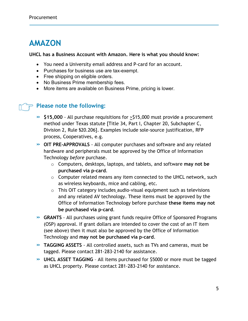### <span id="page-4-0"></span>**AMAZON**

#### **UHCL has a Business Account with Amazon. Here is what you should know:**

- You need a University email address and P-card for an account.
- Purchases for business use are tax-exempt.
- Free shipping on eligible orders.
- No Business Prime membership fees.
- More items are available on Business Prime, pricing is lower.

#### **Please note the following:**

- **» \$15,000** All purchase requisitions for >\$15,000 must provide a procurement method under Texas statute [Title 34, Part I, Chapter 20, Subchapter C, Division 2, Rule §20.206]. Examples include sole-source justification, RFP process, Cooperatives, e.g.
- **» OIT PRE-APPROVALS** All computer purchases and software and any related hardware and peripherals must be approved by the Office of Information Technology *before* purchase.
	- o Computers, desktops, laptops, and tablets, and software **may not be purchased via p-card**.
	- $\circ$  Computer related means any item connected to the UHCL network, such as wireless keyboards, mice and cabling, etc.
	- o This OIT category includes audio-visual equipment such as televisions and any related AV technology. These items must be approved by the Office of Information Technology before purchase **these items may not be purchased via p-card**.
- **» GRANTS** All purchases using grant funds require Office of Sponsored Programs (OSP) approval. If grant dollars are intended to cover the cost of an IT item (see above) then it must also be approved by the Office of Information Technology and **may not be purchased via p-card**.
- **» TAGGING ASSETS** All controlled assets, such as TVs and cameras, must be tagged. Please contact 281-283-2140 for assistance.
- **» UHCL ASSET TAGGING** All items purchased for \$5000 or more must be tagged as UHCL property. Please contact 281-283-2140 for assistance.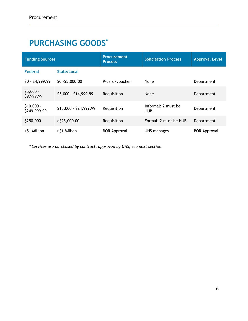## <span id="page-5-0"></span>**PURCHASING GOODS\***

| <b>Funding Sources</b>      |                        | <b>Procurement</b><br><b>Process</b> | <b>Solicitation Process</b> | <b>Approval Level</b> |
|-----------------------------|------------------------|--------------------------------------|-----------------------------|-----------------------|
| <b>Federal</b>              | State/Local            |                                      |                             |                       |
| $$0 - $4,999.99$            | \$0 - \$5,000.00       | P-card/voucher                       | None                        | Department            |
| $$5,000 -$<br>\$9,999.99    | \$5,000 - \$14,999.99  | Requisition                          | None                        | Department            |
| $$10,000 -$<br>\$249,999.99 | \$15,000 - \$24,999.99 | Requisition                          | informal; 2 must be<br>HUB. | Department            |
| \$250,000                   | $>$ \$25,000.00        | Requisition                          | Formal; 2 must be HUB.      | Department            |
| >\$1 Million                | >\$1 Million           | <b>BOR Approval</b>                  | UHS manages                 | <b>BOR Approval</b>   |

*\* Services are purchased by contract, approved by UHS; see next section.*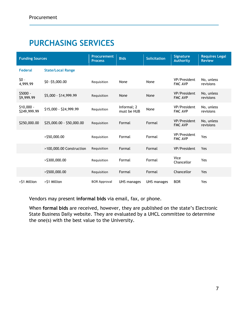## <span id="page-6-0"></span>**PURCHASING SERVICES**

| <b>Funding Sources</b>      |                           | <b>Procurement</b><br><b>Process</b> | <b>Bids</b>                | <b>Solicitation</b> | <b>Signature</b><br><b>Authority</b> | <b>Requires Legal</b><br><b>Review</b> |
|-----------------------------|---------------------------|--------------------------------------|----------------------------|---------------------|--------------------------------------|----------------------------------------|
| <b>Federal</b>              | <b>State/Local Range</b>  |                                      |                            |                     |                                      |                                        |
| $$0 -$<br>4,999.99          | \$0 - \$5,000.00          | Requisition                          | None                       | None                | VP/President<br><b>FMC AVP</b>       | No, unless<br>revisions                |
| \$5000 -<br>\$9,999.99      | \$5,000 - \$14,999.99     | Requisition                          | None                       | None                | VP/President<br><b>FMC AVP</b>       | No, unless<br>revisions                |
| $$10,000 -$<br>\$249,999.99 | \$15,000 - \$24,999.99    | Requisition                          | Informal; 2<br>must be HUB | None                | VP/President<br><b>FMC AVP</b>       | No, unless<br>revisions                |
| \$250,000.00                | \$25,000.00 - \$50,000.00 | Requisition                          | Formal                     | Formal              | VP/President<br><b>FMC AVP</b>       | No, unless<br>revisions                |
|                             | $>$ \$50,000.00           | Requisition                          | Formal                     | Formal              | VP/President<br><b>FMC AVP</b>       | Yes                                    |
|                             | >100,000.00 Construction  | Requisition                          | Formal                     | Formal              | VP/President                         | Yes                                    |
|                             | $>$ \$300,000.00          | Requisition                          | Formal                     | Formal              | Vice<br>Chancellor                   | Yes                                    |
|                             | $>$ \$500,000.00          | Requisition                          | Formal                     | Formal              | Chancellor                           | Yes                                    |
| >\$1 Million                | >\$1 Million              | <b>BOR Approval</b>                  | <b>UHS manages</b>         | UHS manages         | <b>BOR</b>                           | Yes                                    |

Vendors may present **informal bids** via email, fax, or phone.

<span id="page-6-1"></span>When **formal bids** are received, however, they are published on the state's Electronic State Business Daily website. They are evaluated by a UHCL committee to determine the one(s) with the best value to the University.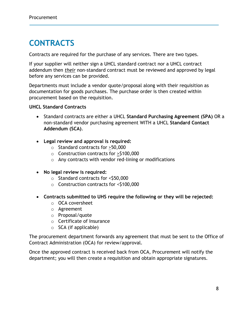### **CONTRACTS**

Contracts are required for the purchase of any services. There are two types.

If your supplier will neither sign a UHCL standard contract nor a UHCL contract addendum then *their* non-standard contract must be reviewed and approved by legal before any services can be provided.

Departments must include a vendor quote/proposal along with their requisition as documentation for goods purchases. The purchase order is then created within procurement based on the requisition.

#### **UHCL Standard Contracts**

- Standard contracts are either a UHCL **Standard Purchasing Agreement (SPA)** OR a non-standard vendor purchasing agreement WITH a UHCL **Standard Contact Addendum (SCA)**.
- **Legal review and approval is required:** 
	- o Standard contracts for >50,000
	- o Construction contracts for >\$100,000
	- o Any contracts with vendor red-lining or modifications
- **No legal review is required:** 
	- o Standard contracts for <\$50,000
	- o Construction contracts for <\$100,000
- **Contracts submitted to UHS require the following or they will be rejected:**
	- o OCA coversheet
	- o Agreement
	- o Proposal/quote
	- o Certificate of Insurance
	- $\circ$  SCA (if applicable)

The procurement department forwards any agreement that must be sent to the Office of Contract Administration (OCA) for review/approval.

Once the approved contract is received back from OCA, Procurement will notify the department; you will then create a requisition and obtain appropriate signatures.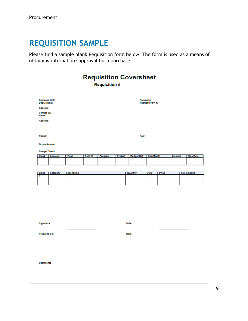#### <span id="page-8-0"></span>**REQUISITION SAMPLE**

Please find a sample blank Requisition form below. The form is used as a means of obtaining internal pre-approval for a purchase.

#### **Requisition Coversheet Requisition #** Business Unit:<br>Dept. Name: Requestor:<br>Requestor Ph #: Address: Vendor ID: Name: Address: Phone: Fax: **Gross Amount: Budget Check:** Line# Dept ID Program Project **Budget Ref** Amount Due Dat Fund Line# Category Description Quantity **UOM**  $Price$ **Ext. Amount**

| Signature: | Date: |  |
|------------|-------|--|
|            |       |  |

Date:

Prepared By:

Comments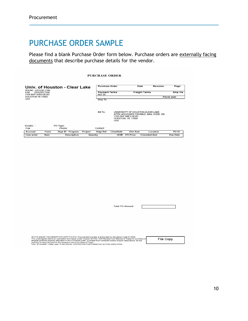#### <span id="page-9-0"></span>PURCHASE ORDER SAMPLE

Please find a blank Purchase Order form below. Purchase orders are externally facing documents that describe purchase details for the vendor.

**PURCHASE ORDER** 

| Univ. of Houston - Clear Lake                                                            |      |          | <b>Purchase Order</b>                 |         |                 | <b>Date</b>          | Revision                                                                                                                     | Page                |          |          |
|------------------------------------------------------------------------------------------|------|----------|---------------------------------------|---------|-----------------|----------------------|------------------------------------------------------------------------------------------------------------------------------|---------------------|----------|----------|
| PHONE: (281)283-2150<br>(281) 283-2156<br>FAX:<br>2700 BAY AREA BLVD<br>HOUSTON TX 77058 |      |          | <b>Payment Terms</b><br><b>Net 30</b> |         |                 | <b>Freight Terms</b> |                                                                                                                              | Ship Via            |          |          |
|                                                                                          |      |          |                                       |         |                 |                      |                                                                                                                              | <b>Fiscal year</b>  |          |          |
| <b>USA</b>                                                                               |      |          |                                       |         | Ship To:        |                      |                                                                                                                              |                     |          |          |
|                                                                                          |      |          |                                       |         | Bill To:        | <b>USA</b>           | UNIVERSITY OF HOUSTON-CLEAR LAKE<br>ATTN: ACCOUNTS PAYABLE, MAIL CODE 105<br>2700 BAY AREA BLVD<br><b>HOUSTON, TX. 77058</b> |                     |          |          |
| Vendor:                                                                                  |      | PO Type: |                                       |         |                 |                      |                                                                                                                              |                     |          |          |
| Fax:                                                                                     |      | Phone:   |                                       |         | Contact:        |                      |                                                                                                                              |                     |          |          |
| Account                                                                                  | Fund |          | Dept ID Program                       | Project | <b>Bdgt Ref</b> | Chartfield           | Dist Amt                                                                                                                     |                     | Location | PO ID    |
| Line-achd                                                                                | Item |          | Description                           |         | Quanity         | <b>UOM</b>           | <b>PO Price</b>                                                                                                              | <b>Extended Amt</b> |          | Due Date |

**Total PO Amount** 

| STATE SALES TAX EXEMPTION CERTIFICATE: Procurement process is authorized by Education Code 51,9335.<br>The undersigned claims an exemption from taxes under Chapter 20, Title 122A Revised Civil Statutes of Texas for purchase of<br>tangible personal property described in this numbered order, purchase from contractor and/or shipper listed above, as this<br>property is being secured for the exclusive use of the State of Texas. | File Copy |
|--------------------------------------------------------------------------------------------------------------------------------------------------------------------------------------------------------------------------------------------------------------------------------------------------------------------------------------------------------------------------------------------------------------------------------------------|-----------|
| Univ. of Houston - Clear Lake, IS AN FOUAL OPPORTUNITY/AFFIRMATIVE ACTION EMPLOYER.                                                                                                                                                                                                                                                                                                                                                        |           |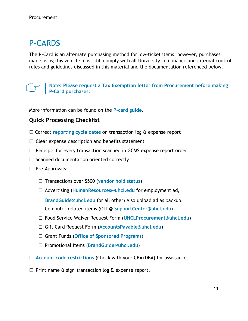#### <span id="page-10-0"></span>P-CARD**S**

The P-Card is an alternate purchasing method for low-ticket items, however, purchases made using this vehicle must still comply with all University compliance and internal control rules and guidelines discussed in this material and the documentation referenced below.



**Note: Please request a Tax Exemption letter from Procurement before making P-Card purchases.**

More information can be found on the **[P-card](https://www.uhcl.edu/about/administrative-offices/procurement-contracts/documents/03-cardholder-user-guide2-2022.pdf) guide**.

#### <span id="page-10-1"></span>**Quick Processing Checklist**

- □ Correct **[reporting cycle dates](https://www.uhcl.edu/about/administrative-offices/procurement-contracts/p-card)** on transaction log & expense report
- $\Box$  Clear expense description and benefits statement
- $\Box$  Receipts for every transaction scanned in GCMS expense report order
- $\square$  Scanned documentation oriented correctly
- □ Pre-Approvals:
	- □ Transactions over \$500 (**[vendor hold status](https://mycpa.cpa.state.tx.us/coa/search.do?userType=public)**)
	- □ Advertising (**[HumanResources@uhcl.edu](mailto:HumanResources@uhcl.edu)** for employment ad,

**[BrandGuide@uhcl.edu](mailto:BrandGuide@uhcl.edu)** for all other) Also upload ad as backup.

- □ Computer related items (OIT @ **[SupportCenter@uhcl.edu](mailto:SupportCenter@uhcl.edu)**)
- □ Food Service Waiver Request Form (**[UHCLProcurement@uhcl.edu](mailto:UHCLProcurement@uhcl.edu)**)
- □ Gift Card Request Form (**[AccountsPayable@uhcl.edu](mailto:AccountsPayable@uhcl.edu)**)
- □ Grant Funds (**[Office of Sponsored Programs](mailto:SponsoredPrograms@uhcl.edu)**)
- □ Promotional Items (**[BrandGuide@uhcl.edu](mailto:BrandGuide@uhcl.edu)**)
- □ **[Account code restrictions](https://uh.edu/finance/Doc_Ref/Food%20and%20Entertainment%20Related%20Accounts.pdf)** (Check with your CBA/DBA) for assistance.
- $\Box$  Print name & sign transaction log & expense report.